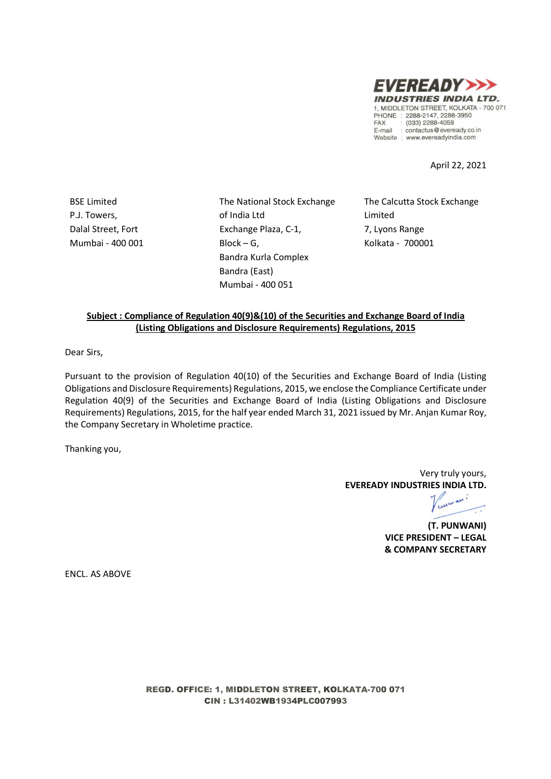

April 22, 2021

P.J. Towers, Dalal Street, Fort Mumbai - 400 001

BSE Limited The National Stock Exchange of India Ltd Exchange Plaza, C-1,  $Block - G$ , Bandra Kurla Complex Bandra (East) Mumbai - 400 051

The Calcutta Stock Exchange Limited 7, Lyons Range Kolkata - 700001

### Subject : Compliance of Regulation 40(9)&(10) of the Securities and Exchange Board of India (Listing Obligations and Disclosure Requirements) Regulations, 2015

Dear Sirs,

Pursuant to the provision of Regulation 40(10) of the Securities and Exchange Board of India (Listing Obligations and Disclosure Requirements) Regulations, 2015, we enclose the Compliance Certificate under Regulation 40(9) of the Securities and Exchange Board of India (Listing Obligations and Disclosure Requirements) Regulations, 2015, for the half year ended March 31, 2021 issued by Mr. Anjan Kumar Roy, the Company Secretary in Wholetime practice.

Thanking you,

Very truly yours, EVEREADY INDUSTRIES INDIA LTD.

wani

(T. PUNWANI) VICE PRESIDENT – LEGAL & COMPANY SECRETARY

ENCL. AS ABOVE